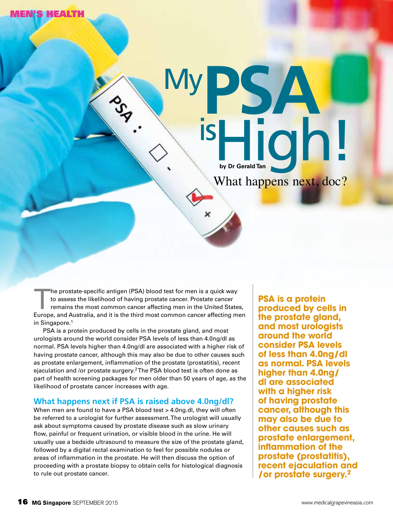N'S HEALTH



The prostate-specific antigen (PSA) blood test for men is a quick way<br>to assess the likelihood of having prostate cancer. Prostate cancer<br>remains the most common cancer affecting men in the United State<br>Europe and Australi to assess the likelihood of having prostate cancer. Prostate cancer remains the most common cancer affecting men in the United States, Europe, and Australia, and it is the third most common cancer affecting men in Singapore.<sup>1</sup>

PSA is a protein produced by cells in the prostate gland, and most urologists around the world consider PSA levels of less than 4.0ng/dl as normal. PSA levels higher than 4.0ng/dl are associated with a higher risk of having prostate cancer, although this may also be due to other causes such as prostate enlargement, inflammation of the prostate (prostatitis), recent ejaculation and /or prostate surgery.2 The PSA blood test is often done as part of health screening packages for men older than 50 years of age, as the likelihood of prostate cancer increases with age.

## **What happens next if PSA is raised above 4.0ng/dl?**

When men are found to have a PSA blood test > 4.0ng.dl, they will often be referred to a urologist for further assessment. The urologist will usually ask about symptoms caused by prostate disease such as slow urinary flow, painful or frequent urination, or visible blood in the urine. He will usually use a bedside ultrasound to measure the size of the prostate gland, followed by a digital rectal examination to feel for possible nodules or areas of inflammation in the prostate. He will then discuss the option of proceeding with a prostate biopsy to obtain cells for histological diagnosis to rule out prostate cancer.

**PSA is a protein produced by cells in the prostate gland, and most urologists around the world consider PSA levels of less than 4.0ng/dl as normal. PSA levels higher than 4.0ng/ dl are associated with a higher risk of having prostate cancer, although this may also be due to other causes such as prostate enlargement, inflammation of the prostate (prostatitis), recent ejaculation and /or prostate surgery.2**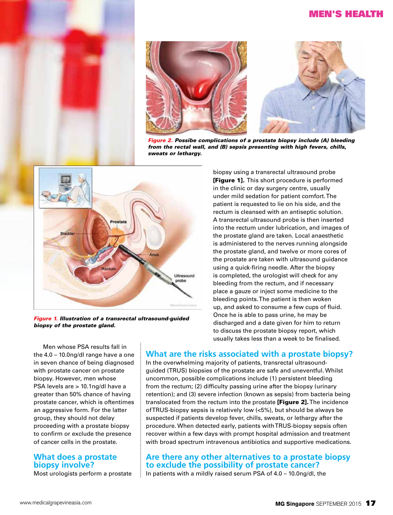# Men's Health





*Figure 2. Possibe complications of a prostate biopsy include (A) bleeding from the rectal wall, and (B) sepsis presenting with high fevers, chills, sweats or lethargy.*



*Figure 1. Illustration of a transrectal ultrasound-guided biopsy of the prostate gland.* 

biopsy using a transrectal ultrasound probe [Figure 1]. This short procedure is performed in the clinic or day surgery centre, usually under mild sedation for patient comfort. The patient is requested to lie on his side, and the rectum is cleansed with an antiseptic solution. A transrectal ultrasound probe is then inserted into the rectum under lubrication, and images of the prostate gland are taken. Local anaesthetic is administered to the nerves running alongside the prostate gland, and twelve or more cores of the prostate are taken with ultrasound guidance using a quick-firing needle. After the biopsy is completed, the urologist will check for any bleeding from the rectum, and if necessary place a gauze or inject some medicine to the bleeding points. The patient is then woken up, and asked to consume a few cups of fluid. Once he is able to pass urine, he may be discharged and a date given for him to return to discuss the prostate biopsy report, which usually takes less than a week to be finalised.

Men whose PSA results fall in the 4.0 – 10.0ng/dl range have a one in seven chance of being diagnosed with prostate cancer on prostate biopsy. However, men whose PSA levels are > 10.1ng/dl have a greater than 50% chance of having prostate cancer, which is oftentimes an aggressive form. For the latter group, they should not delay proceeding with a prostate biopsy to confirm or exclude the presence of cancer cells in the prostate.

## **What does a prostate biopsy involve?**

Most urologists perform a prostate

# **What are the risks associated with a prostate biopsy?**

In the overwhelming majority of patients, transrectal ultrasoundguided (TRUS) biopsies of the prostate are safe and uneventful. Whilst uncommon, possible complications include (1) persistent bleeding from the rectum; (2) difficulty passing urine after the biopsy (urinary retention); and (3) severe infection (known as sepsis) from bacteria being translocated from the rectum into the prostate [Figure 2]. The incidence of TRUS-biopsy sepsis is relatively low (<5%), but should be always be suspected if patients develop fever, chills, sweats, or lethargy after the procedure. When detected early, patients with TRUS-biopsy sepsis often recover within a few days with prompt hospital admission and treatment with broad spectrum intravenous antibiotics and supportive medications.

# **Are there any other alternatives to a prostate biopsy to exclude the possibility of prostate cancer?**

In patients with a mildly raised serum PSA of 4.0 – 10.0ng/dl, the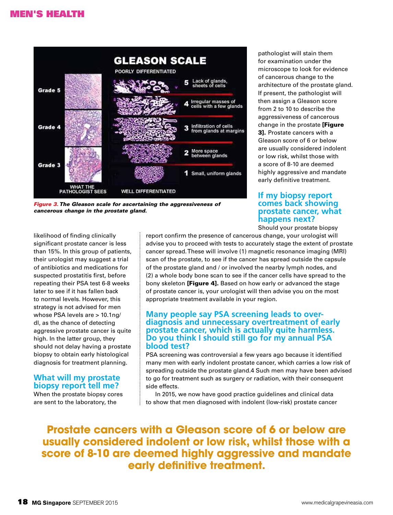

*Figure 3. The Gleason scale for ascertaining the aggressiveness of cancerous change in the prostate gland.*

pathologist will stain them for examination under the microscope to look for evidence of cancerous change to the architecture of the prostate gland. If present, the pathologist will then assign a Gleason score from 2 to 10 to describe the aggressiveness of cancerous change in the prostate [Figure 3]. Prostate cancers with a Gleason score of 6 or below are usually considered indolent or low risk, whilst those with a score of 8-10 are deemed highly aggressive and mandate early definitive treatment.

## **If my biopsy report comes back showing prostate cancer, what happens next?**

Should your prostate biopsy

likelihood of finding clinically significant prostate cancer is less than 15%. In this group of patients, their urologist may suggest a trial of antibiotics and medications for suspected prostatitis first, before repeating their PSA test 6-8 weeks later to see if it has fallen back to normal levels. However, this strategy is not advised for men whose PSA levels are > 10.1ng/ dl, as the chance of detecting aggressive prostate cancer is quite high. In the latter group, they should not delay having a prostate biopsy to obtain early histological diagnosis for treatment planning.

## **What will my prostate biopsy report tell me?**

When the prostate biopsy cores are sent to the laboratory, the

report confirm the presence of cancerous change, your urologist will advise you to proceed with tests to accurately stage the extent of prostate cancer spread. These will involve (1) magnetic resonance imaging (MRI) scan of the prostate, to see if the cancer has spread outside the capsule of the prostate gland and / or involved the nearby lymph nodes, and (2) a whole body bone scan to see if the cancer cells have spread to the bony skeleton [Figure 4]. Based on how early or advanced the stage of prostate cancer is, your urologist will then advise you on the most appropriate treatment available in your region.

### **Many people say PSA screening leads to overdiagnosis and unnecessary overtreatment of early prostate cancer, which is actually quite harmless. Do you think I should still go for my annual PSA blood test?**

PSA screening was controversial a few years ago because it identified many men with early indolent prostate cancer, which carries a low risk of spreading outside the prostate gland.4 Such men may have been advised to go for treatment such as surgery or radiation, with their consequent side effects.

In 2015, we now have good practice guidelines and clinical data to show that men diagnosed with indolent (low-risk) prostate cancer

**Prostate cancers with a Gleason score of 6 or below are usually considered indolent or low risk, whilst those with a score of 8-10 are deemed highly aggressive and mandate early definitive treatment.**